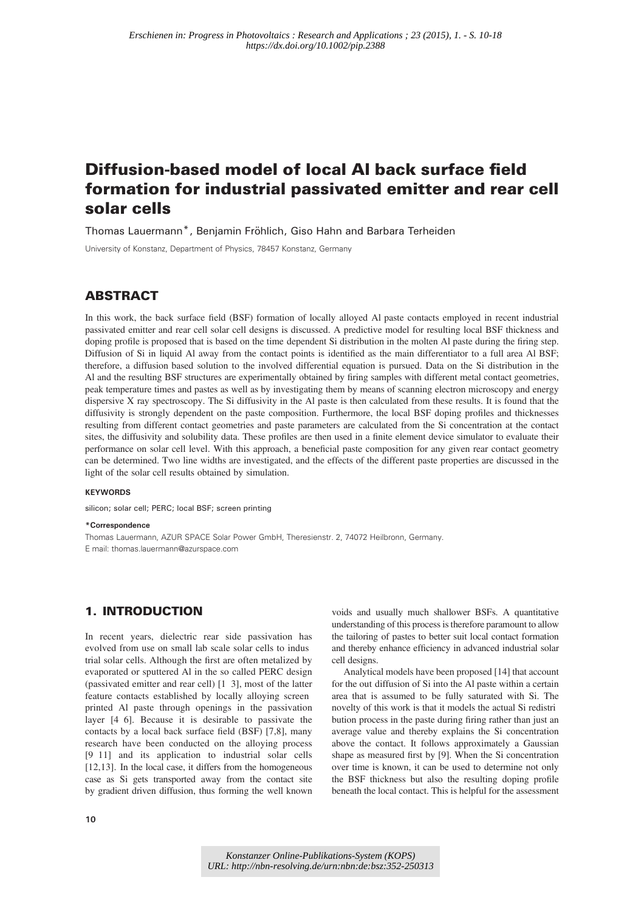# Diffusion-based model of local Al back surface field formation for industrial passivated emitter and rear cell solar cells

Thomas Lauermann\*, Benjamin Fröhlich, Giso Hahn and Barbara Terheiden

University of Konstanz, Department of Physics, 78457 Konstanz, Germany

## ABSTRACT

In this work, the back surface field (BSF) formation of locally alloyed Al paste contacts employed in recent industrial passivated emitter and rear cell solar cell designs is discussed. A predictive model for resulting local BSF thickness and doping profile is proposed that is based on the time dependent Si distribution in the molten Al paste during the firing step. Diffusion of Si in liquid Al away from the contact points is identified as the main differentiator to a full area Al BSF; therefore, a diffusion based solution to the involved differential equation is pursued. Data on the Si distribution in the Al and the resulting BSF structures are experimentally obtained by firing samples with different metal contact geometries, peak temperature times and pastes as well as by investigating them by means of scanning electron microscopy and energy dispersive X ray spectroscopy. The Si diffusivity in the Al paste is then calculated from these results. It is found that the diffusivity is strongly dependent on the paste composition. Furthermore, the local BSF doping profiles and thicknesses resulting from different contact geometries and paste parameters are calculated from the Si concentration at the contact sites, the diffusivity and solubility data. These profiles are then used in a finite element device simulator to evaluate their performance on solar cell level. With this approach, a beneficial paste composition for any given rear contact geometry can be determined. Two line widths are investigated, and the effects of the different paste properties are discussed in the light of the solar cell results obtained by simulation.

#### **KEYWORDS**

silicon; solar cell; PERC; local BSF; screen printing

#### \*Correspondence

Thomas Lauermann, AZUR SPACE Solar Power GmbH, Theresienstr. 2, 74072 Heilbronn, Germany. E mail: thomas.lauermann@azurspace.com

## 1. INTRODUCTION

In recent years, dielectric rear side passivation has evolved from use on small lab scale solar cells to indus trial solar cells. Although the first are often metalized by evaporated or sputtered Al in the so called PERC design (passivated emitter and rear cell) [1 3], most of the latter feature contacts established by locally alloying screen printed Al paste through openings in the passivation layer [4 6]. Because it is desirable to passivate the contacts by a local back surface field (BSF) [7,8], many research have been conducted on the alloying process [9 11] and its application to industrial solar cells [12,13]. In the local case, it differs from the homogeneous case as Si gets transported away from the contact site by gradient driven diffusion, thus forming the well known

voids and usually much shallower BSFs. A quantitative understanding of this process is therefore paramount to allow the tailoring of pastes to better suit local contact formation and thereby enhance efficiency in advanced industrial solar cell designs.

Analytical models have been proposed [14] that account for the out diffusion of Si into the Al paste within a certain area that is assumed to be fully saturated with Si. The novelty of this work is that it models the actual Si redistri bution process in the paste during firing rather than just an average value and thereby explains the Si concentration above the contact. It follows approximately a Gaussian shape as measured first by [9]. When the Si concentration over time is known, it can be used to determine not only the BSF thickness but also the resulting doping profile beneath the local contact. This is helpful for the assessment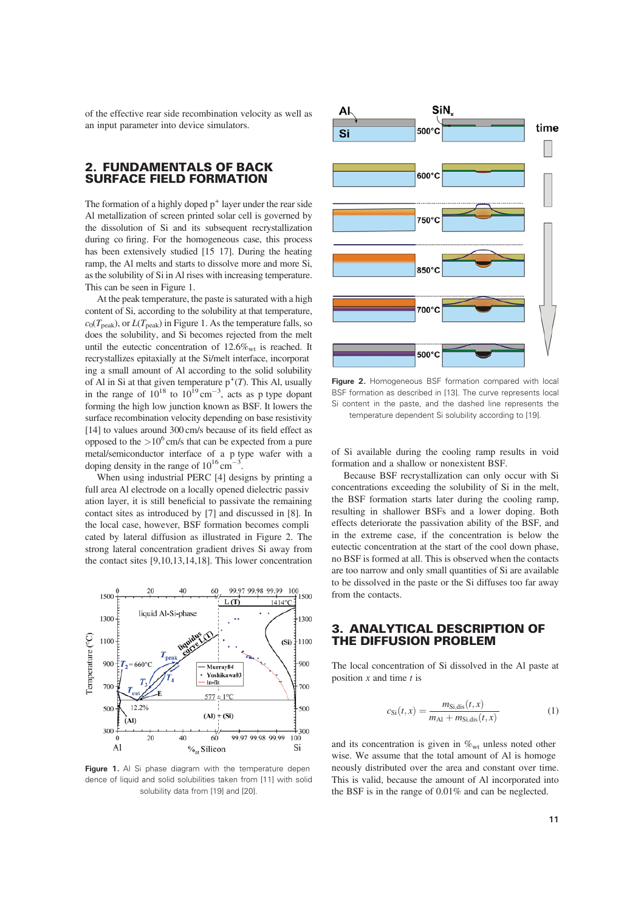of the effective rear side recombination velocity as well as an input parameter into device simulators.

#### 2. FUNDAMENTALS OF BACK SURFACE FIELD FORMATION

The formation of a highly doped  $p^+$  layer under the rear side Al metallization of screen printed solar cell is governed by the dissolution of Si and its subsequent recrystallization during co firing. For the homogeneous case, this process has been extensively studied [15 17]. During the heating ramp, the Al melts and starts to dissolve more and more Si, as the solubility of Si in Al rises with increasing temperature. This can be seen in Figure 1.

At the peak temperature, the paste is saturated with a high content of Si, according to the solubility at that temperature,  $c_0(T_{\text{peak}})$ , or  $L(T_{\text{peak}})$  in Figure 1. As the temperature falls, so does the solubility, and Si becomes rejected from the melt until the eutectic concentration of  $12.6\%_{\rm wt}$  is reached. It recrystallizes epitaxially at the Si/melt interface, incorporat ing a small amount of Al according to the solid solubility of Al in Si at that given temperature  $p^+(T)$ . This Al, usually in the range of  $10^{18}$  to  $10^{19}$  cm<sup>-3</sup>, acts as p type dopant forming the high low junction known as BSF. It lowers the surface recombination velocity depending on base resistivity [14] to values around 300 cm/s because of its field effect as opposed to the  $>10^6$  cm/s that can be expected from a pure metal/semiconductor interface of a p type wafer with a doping density in the range of  $10^{16}$  cm<sup>-3</sup>.

When using industrial PERC [4] designs by printing a full area Al electrode on a locally opened dielectric passiv ation layer, it is still beneficial to passivate the remaining contact sites as introduced by [7] and discussed in [8]. In the local case, however, BSF formation becomes compli cated by lateral diffusion as illustrated in Figure 2. The strong lateral concentration gradient drives Si away from the contact sites [9,10,13,14,18]. This lower concentration



Figure 1. Al Si phase diagram with the temperature depen dence of liquid and solid solubilities taken from [11] with solid solubility data from [19] and [20].



Figure 2. Homogeneous BSF formation compared with local BSF formation as described in [13]. The curve represents local Si content in the paste, and the dashed line represents the temperature dependent Si solubility according to [19].

of Si available during the cooling ramp results in void formation and a shallow or nonexistent BSF.

Because BSF recrystallization can only occur with Si concentrations exceeding the solubility of Si in the melt, the BSF formation starts later during the cooling ramp, resulting in shallower BSFs and a lower doping. Both effects deteriorate the passivation ability of the BSF, and in the extreme case, if the concentration is below the eutectic concentration at the start of the cool down phase, no BSF is formed at all. This is observed when the contacts are too narrow and only small quantities of Si are available to be dissolved in the paste or the Si diffuses too far away from the contacts.

#### 3. ANALYTICAL DESCRIPTION OF THE DIFFUSION PROBLEM

The local concentration of Si dissolved in the Al paste at position  $x$  and time  $t$  is

$$
c_{\rm Si}(t,x) = \frac{m_{\rm Si,dis}(t,x)}{m_{\rm Al} + m_{\rm Si,dis}(t,x)}
$$
(1)

and its concentration is given in  $\%_{wt}$  unless noted other wise. We assume that the total amount of Al is homoge neously distributed over the area and constant over time. This is valid, because the amount of Al incorporated into the BSF is in the range of 0.01% and can be neglected.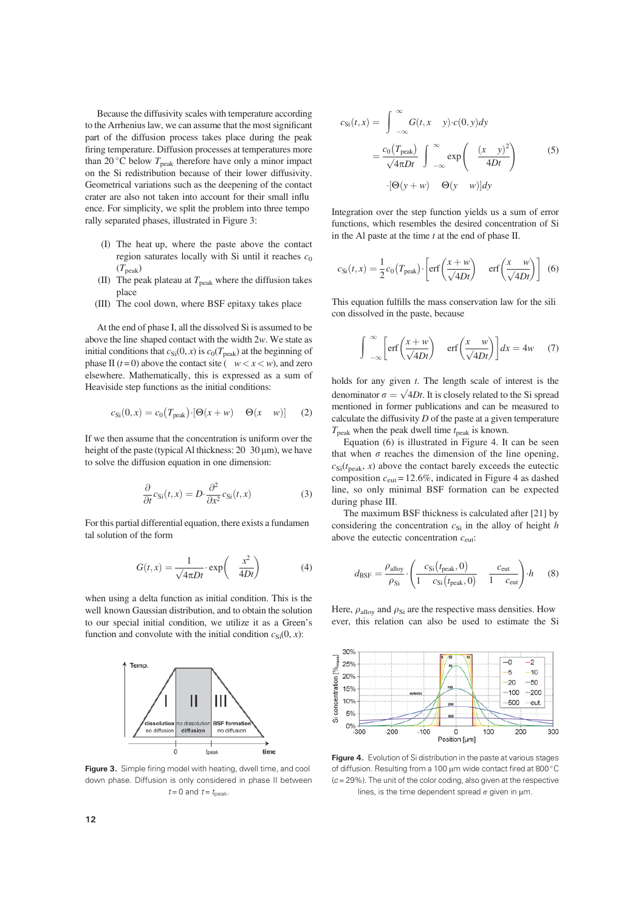Because the diffusivity scales with temperature according to the Arrhenius law, we can assume that the most significant part of the diffusion process takes place during the peak firing temperature. Diffusion processes at temperatures more than 20 °C below  $T_{\text{peak}}$  therefore have only a minor impact on the Si redistribution because of their lower diffusivity. Geometrical variations such as the deepening of the contact crater are also not taken into account for their small influ ence. For simplicity, we split the problem into three tempo rally separated phases, illustrated in Figure 3:

- (I) The heat up, where the paste above the contact region saturates locally with Si until it reaches  $c_0$  $(T_{\text{peak}})$
- (II) The peak plateau at  $T_{\text{peak}}$  where the diffusion takes place
- (III) The cool down, where BSF epitaxy takes place

At the end of phase I, all the dissolved Si is assumed to be above the line shaped contact with the width 2w. We state as initial conditions that  $c_{\text{Si}}(0, x)$  is  $c_0(T_{\text{peak}})$  at the beginning of phase II ( $t = 0$ ) above the contact site ( $w < x < w$ ), and zero elsewhere. Mathematically, this is expressed as a sum of Heaviside step functions as the initial conditions:

$$
c_{\rm Si}(0, x) = c_0 \left( T_{\rm peak} \right) \cdot \left[ \Theta(x + w) \quad \Theta(x \quad w) \right] \tag{2}
$$

If we then assume that the concentration is uniform over the height of the paste (typical Al thickness:  $20\,30\,\mu\text{m}$ ), we have to solve the diffusion equation in one dimension:

$$
\frac{\partial}{\partial t}c_{\text{Si}}(t,x) = D \cdot \frac{\partial^2}{\partial x^2}c_{\text{Si}}(t,x)
$$
 (3)

For this partial differential equation, there exists a fundamen tal solution of the form

$$
G(t,x) = \frac{1}{\sqrt{4\pi Dt}} \cdot \exp\left(-\frac{x^2}{4Dt}\right) \tag{4}
$$

when using a delta function as initial condition. This is the well known Gaussian distribution, and to obtain the solution to our special initial condition, we utilize it as a Green's function and convolute with the initial condition  $c_{\rm Si}(0, x)$ :



Figure 3. Simple firing model with heating, dwell time, and cool down phase. Diffusion is only considered in phase II between  $t = 0$  and  $t = t_{\text{peak}}$ .

$$
c_{\text{Si}}(t,x) = \int_{-\infty}^{\infty} G(t,x-y) \cdot c(0,y) dy
$$

$$
= \frac{c_0 \left( T_{\text{peak}} \right)}{\sqrt{4\pi Dt}} \int_{-\infty}^{\infty} \exp\left( \frac{(x-y)^2}{4Dt} \right) \tag{5}
$$

$$
\cdot [\Theta(y+w) \quad \Theta(y-w)] dy
$$

Integration over the step function yields us a sum of error functions, which resembles the desired concentration of Si in the Al paste at the time  $t$  at the end of phase II.

$$
c_{\text{Si}}(t,x) = \frac{1}{2}c_0(T_{\text{peak}}) \cdot \left[ \text{erf}\left(\frac{x+w}{\sqrt{4Dt}}\right) \quad \text{erf}\left(\frac{x-w}{\sqrt{4Dt}}\right) \right] \tag{6}
$$

This equation fulfills the mass conservation law for the sili con dissolved in the paste, because

$$
\int_{-\infty}^{\infty} \left[ \text{erf}\left(\frac{x+w}{\sqrt{4Dt}}\right) - \text{erf}\left(\frac{x-w}{\sqrt{4Dt}}\right) \right] dx = 4w \quad (7)
$$

holds for any given  $t$ . The length scale of interest is the denominator  $\sigma = \sqrt{4Dt}$ . It is closely related to the Si spread mentioned in former publications and can be measured to calculate the diffusivity  $D$  of the paste at a given temperature  $T_{\text{peak}}$  when the peak dwell time  $t_{\text{peak}}$  is known.

Equation (6) is illustrated in Figure 4. It can be seen that when  $\sigma$  reaches the dimension of the line opening,  $c_{\text{Si}}(t_{\text{peak}}, x)$  above the contact barely exceeds the eutectic composition  $c_{\text{cut}} = 12.6\%$ , indicated in Figure 4 as dashed line, so only minimal BSF formation can be expected during phase III.

The maximum BSF thickness is calculated after [21] by considering the concentration  $c_{Si}$  in the alloy of height h above the eutectic concentration  $c_{\text{ent}}$ :

$$
d_{\text{BSF}} = \frac{\rho_{\text{alloy}}}{\rho_{\text{Si}}} \cdot \left( \frac{c_{\text{Si}}(t_{\text{peak}}, 0)}{1 - c_{\text{Si}}(t_{\text{peak}}, 0)} - \frac{c_{\text{cut}}}{1 - c_{\text{cut}}} \right) \cdot h \tag{8}
$$

Here,  $\rho_{\text{allow}}$  and  $\rho_{\text{Si}}$  are the respective mass densities. How ever, this relation can also be used to estimate the Si



Figure 4. Evolution of Si distribution in the paste at various stages of diffusion. Resulting from a 100 um wide contact fired at 800 °C  $(c= 29\%)$ . The unit of the color coding, also given at the respective lines, is the time dependent spread  $\sigma$  given in  $\mu$ m.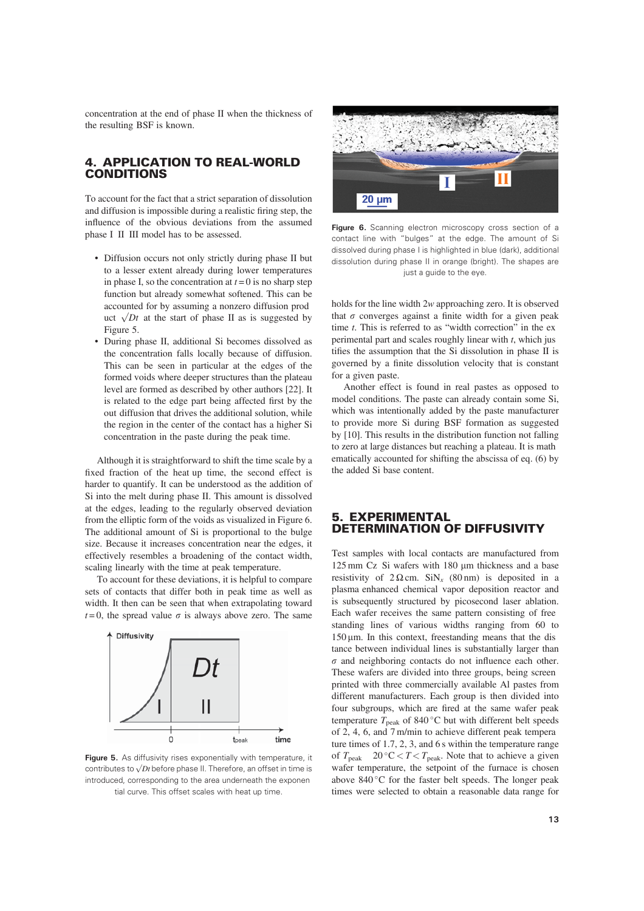concentration at the end of phase II when the thickness of the resulting BSF is known.

#### 4. APPLICATION TO REAL-WORLD **CONDITIONS**

To account for the fact that a strict separation of dissolution and diffusion is impossible during a realistic firing step, the influence of the obvious deviations from the assumed phase I II III model has to be assessed.

- Diffusion occurs not only strictly during phase II but to a lesser extent already during lower temperatures in phase I, so the concentration at  $t = 0$  is no sharp step function but already somewhat softened. This can be accounted for by assuming a nonzero diffusion prod uct  $\sqrt{Dt}$  at the start of phase II as is suggested by Figure 5.
- During phase II, additional Si becomes dissolved as the concentration falls locally because of diffusion. This can be seen in particular at the edges of the formed voids where deeper structures than the plateau level are formed as described by other authors [22]. It is related to the edge part being affected first by the out diffusion that drives the additional solution, while the region in the center of the contact has a higher Si concentration in the paste during the peak time.

Although it is straightforward to shift the time scale by a fixed fraction of the heat up time, the second effect is harder to quantify. It can be understood as the addition of Si into the melt during phase II. This amount is dissolved at the edges, leading to the regularly observed deviation from the elliptic form of the voids as visualized in Figure 6. The additional amount of Si is proportional to the bulge size. Because it increases concentration near the edges, it effectively resembles a broadening of the contact width, scaling linearly with the time at peak temperature.

To account for these deviations, it is helpful to compare sets of contacts that differ both in peak time as well as width. It then can be seen that when extrapolating toward  $t = 0$ , the spread value  $\sigma$  is always above zero. The same



Figure 5. As diffusivity rises exponentially with temperature, it contributes to  $\sqrt{Dt}$  before phase II. Therefore, an offset in time is introduced, corresponding to the area underneath the exponen tial curve. This offset scales with heat up time.



Figure 6. Scanning electron microscopy cross section of a contact line with "bulges" at the edge. The amount of Si dissolved during phase I is highlighted in blue (dark), additional dissolution during phase II in orange (bright). The shapes are just a guide to the eye.

holds for the line width 2w approaching zero. It is observed that  $\sigma$  converges against a finite width for a given peak time  $t$ . This is referred to as "width correction" in the ex perimental part and scales roughly linear with  $t$ , which jus tifies the assumption that the Si dissolution in phase II is governed by a finite dissolution velocity that is constant for a given paste.

Another effect is found in real pastes as opposed to model conditions. The paste can already contain some Si, which was intentionally added by the paste manufacturer to provide more Si during BSF formation as suggested by [10]. This results in the distribution function not falling to zero at large distances but reaching a plateau. It is math ematically accounted for shifting the abscissa of eq. (6) by the added Si base content.

#### 5. EXPERIMENTAL DETERMINATION OF DIFFUSIVITY

Test samples with local contacts are manufactured from 125 mm Cz Si wafers with 180 um thickness and a base resistivity of  $2 \Omega$  cm. SiN<sub>x</sub> (80 nm) is deposited in a plasma enhanced chemical vapor deposition reactor and is subsequently structured by picosecond laser ablation. Each wafer receives the same pattern consisting of free standing lines of various widths ranging from 60 to  $150 \,\mu m$ . In this context, freestanding means that the dis tance between individual lines is substantially larger than  $\sigma$  and neighboring contacts do not influence each other. These wafers are divided into three groups, being screen printed with three commercially available Al pastes from different manufacturers. Each group is then divided into four subgroups, which are fired at the same wafer peak temperature  $T_{\text{peak}}$  of 840 °C but with different belt speeds of 2, 4, 6, and 7 m/min to achieve different peak tempera ture times of 1.7, 2, 3, and 6 s within the temperature range of  $T_{\text{peak}}$  20 °C <  $T$  <  $T_{\text{peak}}$ . Note that to achieve a given wafer temperature, the setpoint of the furnace is chosen above  $840^{\circ}$ C for the faster belt speeds. The longer peak times were selected to obtain a reasonable data range for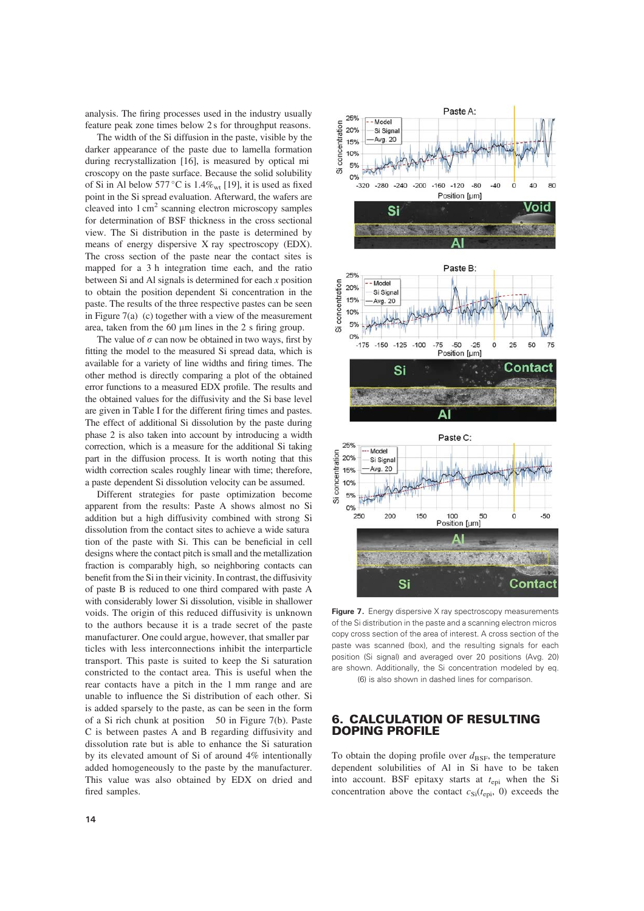analysis. The firing processes used in the industry usually feature peak zone times below 2 s for throughput reasons.

The width of the Si diffusion in the paste, visible by the darker appearance of the paste due to lamella formation during recrystallization [16], is measured by optical mi croscopy on the paste surface. Because the solid solubility of Si in Al below 577 °C is 1.4 $\%_{wt}$  [19], it is used as fixed point in the Si spread evaluation. Afterward, the wafers are cleaved into  $1 \text{ cm}^2$  scanning electron microscopy samples for determination of BSF thickness in the cross sectional view. The Si distribution in the paste is determined by means of energy dispersive X ray spectroscopy (EDX). The cross section of the paste near the contact sites is mapped for a 3 h integration time each, and the ratio between Si and Al signals is determined for each  $x$  position to obtain the position dependent Si concentration in the paste. The results of the three respective pastes can be seen in Figure  $7(a)$  (c) together with a view of the measurement area, taken from the  $60 \mu m$  lines in the 2 s firing group.

The value of  $\sigma$  can now be obtained in two ways, first by fitting the model to the measured Si spread data, which is available for a variety of line widths and firing times. The other method is directly comparing a plot of the obtained error functions to a measured EDX profile. The results and the obtained values for the diffusivity and the Si base level are given in Table I for the different firing times and pastes. The effect of additional Si dissolution by the paste during phase 2 is also taken into account by introducing a width correction, which is a measure for the additional Si taking part in the diffusion process. It is worth noting that this width correction scales roughly linear with time; therefore, a paste dependent Si dissolution velocity can be assumed.

Different strategies for paste optimization become apparent from the results: Paste A shows almost no Si addition but a high diffusivity combined with strong Si dissolution from the contact sites to achieve a wide satura tion of the paste with Si. This can be beneficial in cell designs where the contact pitch is small and the metallization fraction is comparably high, so neighboring contacts can benefit from the Si in their vicinity. In contrast, the diffusivity of paste B is reduced to one third compared with paste A with considerably lower Si dissolution, visible in shallower voids. The origin of this reduced diffusivity is unknown to the authors because it is a trade secret of the paste manufacturer. One could argue, however, that smaller par ticles with less interconnections inhibit the interparticle transport. This paste is suited to keep the Si saturation constricted to the contact area. This is useful when the rear contacts have a pitch in the 1 mm range and are unable to influence the Si distribution of each other. Si is added sparsely to the paste, as can be seen in the form of a Si rich chunk at position 50 in Figure 7(b). Paste C is between pastes A and B regarding diffusivity and dissolution rate but is able to enhance the Si saturation by its elevated amount of Si of around 4% intentionally added homogeneously to the paste by the manufacturer. This value was also obtained by EDX on dried and fired samples.



**Figure 7.** Energy dispersive X ray spectroscopy measurements of the Si distribution in the paste and a scanning electron micros copy cross section of the area of interest. A cross section of the paste was scanned (box), and the resulting signals for each position (Si signal) and averaged over 20 positions (Avg. 20) are shown. Additionally, the Si concentration modeled by eq. (6) is also shown in dashed lines for comparison.

#### 6. CALCULATION OF RESULTING DOPING PROFILE

To obtain the doping profile over  $d_{\text{BSF}}$ , the temperature dependent solubilities of Al in Si have to be taken into account. BSF epitaxy starts at  $t_{epi}$  when the Si concentration above the contact  $c_{Si}(t_{\text{epi}}, 0)$  exceeds the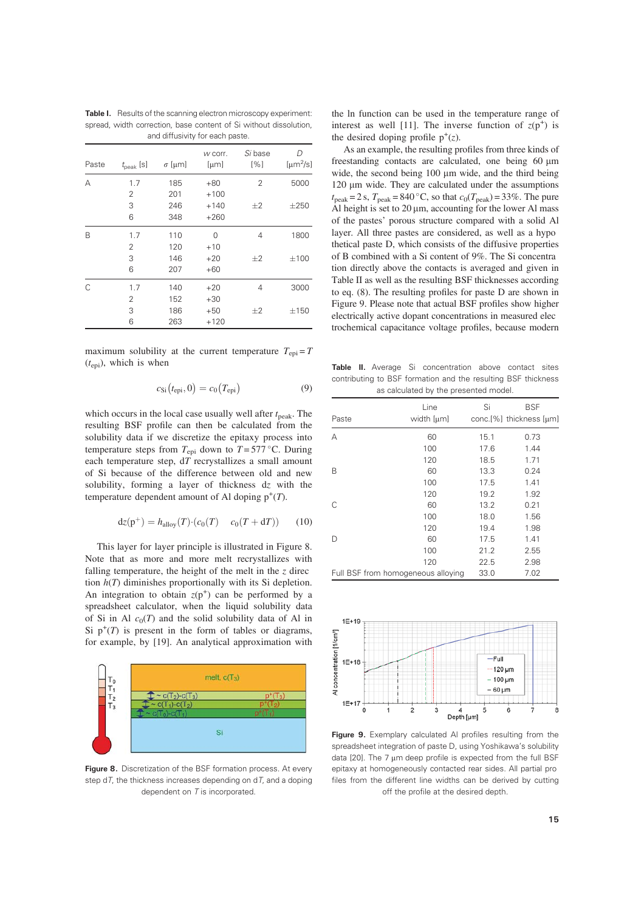Table I. Results of the scanning electron microscopy experiment: spread, width correction, base content of Si without dissolution, and diffusivity for each paste.

| Paste | $t_{\sf peak}$ [s] | $\sigma$ [µm] | w corr.<br>[µm] | Si base<br>[%] | D<br>$[µm^2/s]$ |
|-------|--------------------|---------------|-----------------|----------------|-----------------|
| А     | 1.7                | 185           | $+80$           | 2              | 5000            |
|       | 2                  | 201           | $+100$          |                |                 |
|       | 3                  | 246           | $+140$          | $\pm 2$        | $\pm 250$       |
|       | 6                  | 348           | $+260$          |                |                 |
| B     | 1.7                | 110           | $\Omega$        | 4              | 1800            |
|       | 2                  | 120           | $+10$           |                |                 |
|       | 3                  | 146           | $+20$           | $\pm 2$        | ±100            |
|       | 6                  | 207           | $+60$           |                |                 |
| C     | 1.7                | 140           | $+20$           | 4              | 3000            |
|       | 2                  | 152           | $+30$           |                |                 |
|       | 3                  | 186           | $+50$           | $\pm 2$        | ±150            |
|       | 6                  | 263           | $+120$          |                |                 |

maximum solubility at the current temperature  $T_{\text{epi}} = T$  $(t_{\rm{eni}})$ , which is when

$$
c_{\rm Si}(t_{\rm epi}, 0) = c_0(T_{\rm epi})
$$
\n(9)

which occurs in the local case usually well after  $t_{\text{peak}}$ . The resulting BSF profile can then be calculated from the solubility data if we discretize the epitaxy process into temperature steps from  $T_{epi}$  down to  $T = 577$  °C. During each temperature step,  $dT$  recrystallizes a small amount of Si because of the difference between old and new solubility, forming a layer of thickness dz with the temperature dependent amount of Al doping  $p^+(T)$ .

$$
dz(p^{+}) = h_{\text{alloy}}(T) \cdot (c_0(T) - c_0(T + dT)) \tag{10}
$$

This layer for layer principle is illustrated in Figure 8. Note that as more and more melt recrystallizes with falling temperature, the height of the melt in the  $z$  direc tion  $h(T)$  diminishes proportionally with its Si depletion. An integration to obtain  $z(p^+)$  can be performed by a spreadsheet calculator, when the liquid solubility data of Si in Al  $c_0(T)$  and the solid solubility data of Al in Si  $p^{+}(T)$  is present in the form of tables or diagrams, for example, by [19]. An analytical approximation with



Figure 8. Discretization of the BSF formation process. At every step  $dT$ , the thickness increases depending on  $dT$ , and a doping dependent on T is incorporated.

the ln function can be used in the temperature range of interest as well [11]. The inverse function of  $z(p^+)$  is the desired doping profile  $p^+(z)$ .

As an example, the resulting profiles from three kinds of freestanding contacts are calculated, one being  $60 \mu m$ wide, the second being 100 µm wide, and the third being 120 um wide. They are calculated under the assumptions  $t_{\text{peak}} = 2 \text{ s}, T_{\text{peak}} = 840 \degree \text{C}, \text{ so that } c_0(T_{\text{peak}}) = 33\%$ . The pure Al height is set to  $20 \mu m$ , accounting for the lower Al mass of the pastes' porous structure compared with a solid Al layer. All three pastes are considered, as well as a hypo thetical paste D, which consists of the diffusive properties of B combined with a Si content of 9%. The Si concentra tion directly above the contacts is averaged and given in Table II as well as the resulting BSF thicknesses according to eq. (8). The resulting profiles for paste D are shown in Figure 9. Please note that actual BSF profiles show higher electrically active dopant concentrations in measured elec trochemical capacitance voltage profiles, because modern

Table II. Average Si concentration above contact sites contributing to BSF formation and the resulting BSF thickness as calculated by the presented model.

|       | Line                               | Si   | <b>BSF</b>              |
|-------|------------------------------------|------|-------------------------|
| Paste | width [µm]                         |      | conc.[%] thickness [µm] |
| А     | 60                                 | 15.1 | 0.73                    |
|       | 100                                | 17.6 | 1.44                    |
|       | 120                                | 18.5 | 1.71                    |
| В     | 60                                 | 13.3 | 0.24                    |
|       | 100                                | 17.5 | 1.41                    |
|       | 120                                | 19.2 | 1.92                    |
| С     | 60                                 | 13.2 | 0.21                    |
|       | 100                                | 18.0 | 1.56                    |
|       | 120                                | 19.4 | 1.98                    |
| D     | 60                                 | 17.5 | 1.41                    |
|       | 100                                | 21.2 | 2.55                    |
|       | 120                                | 22.5 | 2.98                    |
|       | Full BSF from homogeneous alloying | 33.0 | 7.02                    |



Figure 9. Exemplary calculated AI profiles resulting from the spreadsheet integration of paste D, using Yoshikawa's solubility data [20]. The 7  $\mu$ m deep profile is expected from the full BSF epitaxy at homogeneously contacted rear sides. All partial pro files from the different line widths can be derived by cutting off the profile at the desired depth.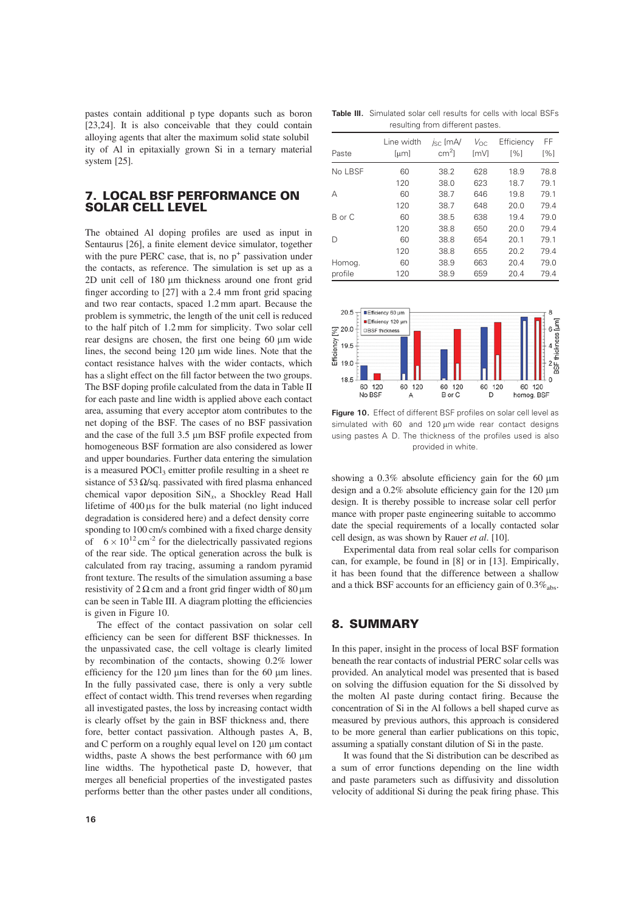pastes contain additional p type dopants such as boron [23,24]. It is also conceivable that they could contain alloying agents that alter the maximum solid state solubil ity of Al in epitaxially grown Si in a ternary material system [25].

#### 7. LOCAL BSF PERFORMANCE ON SOLAR CELL LEVEL

The obtained Al doping profiles are used as input in Sentaurus [26], a finite element device simulator, together with the pure PERC case, that is, no  $p^+$  passivation under the contacts, as reference. The simulation is set up as a 2D unit cell of 180 µm thickness around one front grid finger according to [27] with a 2.4 mm front grid spacing and two rear contacts, spaced 1.2 mm apart. Because the problem is symmetric, the length of the unit cell is reduced to the half pitch of 1.2 mm for simplicity. Two solar cell rear designs are chosen, the first one being 60 µm wide lines, the second being  $120 \mu m$  wide lines. Note that the contact resistance halves with the wider contacts, which has a slight effect on the fill factor between the two groups. The BSF doping profile calculated from the data in Table II for each paste and line width is applied above each contact area, assuming that every acceptor atom contributes to the net doping of the BSF. The cases of no BSF passivation and the case of the full 3.5 µm BSF profile expected from homogeneous BSF formation are also considered as lower and upper boundaries. Further data entering the simulation is a measured POCl<sub>3</sub> emitter profile resulting in a sheet re sistance of 53  $\Omega$ /sq. passivated with fired plasma enhanced chemical vapor deposition  $\text{SiN}_x$ , a Shockley Read Hall lifetime of 400 us for the bulk material (no light induced degradation is considered here) and a defect density corre sponding to 100 cm/s combined with a fixed charge density of  $6 \times 10^{12}$  cm<sup>-2</sup> for the dielectrically passivated regions of the rear side. The optical generation across the bulk is calculated from ray tracing, assuming a random pyramid front texture. The results of the simulation assuming a base resistivity of  $2 \Omega$  cm and a front grid finger width of 80 um can be seen in Table III. A diagram plotting the efficiencies is given in Figure 10.

The effect of the contact passivation on solar cell efficiency can be seen for different BSF thicknesses. In the unpassivated case, the cell voltage is clearly limited by recombination of the contacts, showing 0.2% lower efficiency for the  $120 \mu m$  lines than for the  $60 \mu m$  lines. In the fully passivated case, there is only a very subtle effect of contact width. This trend reverses when regarding all investigated pastes, the loss by increasing contact width is clearly offset by the gain in BSF thickness and, there fore, better contact passivation. Although pastes A, B, and  $C$  perform on a roughly equal level on  $120 \mu m$  contact widths, paste A shows the best performance with  $60 \mu m$ line widths. The hypothetical paste D, however, that merges all beneficial properties of the investigated pastes performs better than the other pastes under all conditions,

| Paste   | Line width<br>[µm] | $j_{SC}$ [mA/<br>cm <sup>2</sup> | $V_{OC}$<br><b>ImVI</b> | Efficiency<br>[%] | FF<br>[%] |
|---------|--------------------|----------------------------------|-------------------------|-------------------|-----------|
| No LBSF | 60                 | 38.2                             | 628                     | 18.9              | 78.8      |
|         | 120                | 38.0                             | 623                     | 18.7              | 79.1      |
| А       | 60                 | 38.7                             | 646                     | 19.8              | 79.1      |
|         | 120                | 38.7                             | 648                     | 20.0              | 79.4      |
| B or C  | 60                 | 38.5                             | 638                     | 19.4              | 79.0      |
|         | 120                | 38.8                             | 650                     | 20.0              | 79.4      |
| D       | 60                 | 38.8                             | 654                     | 20.1              | 79.1      |
|         | 120                | 38.8                             | 655                     | 20.2              | 79.4      |
| Homog.  | 60                 | 38.9                             | 663                     | 20.4              | 79.0      |
| profile | 120                | 38.9                             | 659                     | 20.4              | 79.4      |

Table III. Simulated solar cell results for cells with local BSFs resulting from different pastes.



Figure 10. Effect of different BSF profiles on solar cell level as simulated with  $60$  and  $120 \mu m$  wide rear contact designs using pastes A D. The thickness of the profiles used is also provided in white.

showing a  $0.3\%$  absolute efficiency gain for the 60  $\mu$ m design and a 0.2% absolute efficiency gain for the 120  $\mu$ m design. It is thereby possible to increase solar cell perfor mance with proper paste engineering suitable to accommo date the special requirements of a locally contacted solar cell design, as was shown by Rauer et al. [10].

Experimental data from real solar cells for comparison can, for example, be found in [8] or in [13]. Empirically, it has been found that the difference between a shallow and a thick BSF accounts for an efficiency gain of  $0.3\%_{\text{abs}}$ .

#### 8. SUMMARY

In this paper, insight in the process of local BSF formation beneath the rear contacts of industrial PERC solar cells was provided. An analytical model was presented that is based on solving the diffusion equation for the Si dissolved by the molten Al paste during contact firing. Because the concentration of Si in the Al follows a bell shaped curve as measured by previous authors, this approach is considered to be more general than earlier publications on this topic, assuming a spatially constant dilution of Si in the paste.

It was found that the Si distribution can be described as a sum of error functions depending on the line width and paste parameters such as diffusivity and dissolution velocity of additional Si during the peak firing phase. This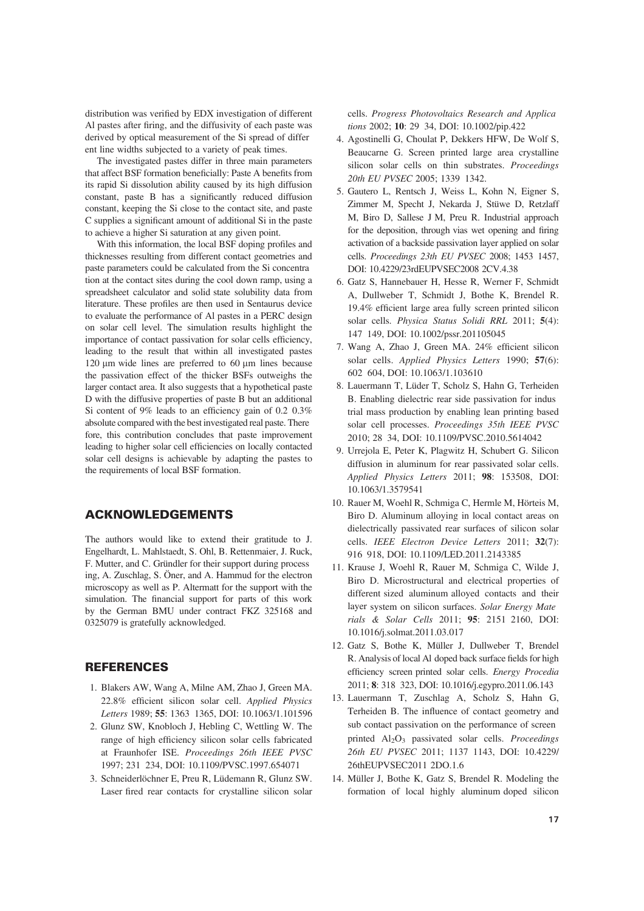distribution was verified by EDX investigation of different Al pastes after firing, and the diffusivity of each paste was derived by optical measurement of the Si spread of differ ent line widths subjected to a variety of peak times.

The investigated pastes differ in three main parameters that affect BSF formation beneficially: Paste A benefits from its rapid Si dissolution ability caused by its high diffusion constant, paste B has a significantly reduced diffusion constant, keeping the Si close to the contact site, and paste C supplies a significant amount of additional Si in the paste to achieve a higher Si saturation at any given point.

With this information, the local BSF doping profiles and thicknesses resulting from different contact geometries and paste parameters could be calculated from the Si concentra tion at the contact sites during the cool down ramp, using a spreadsheet calculator and solid state solubility data from literature. These profiles are then used in Sentaurus device to evaluate the performance of Al pastes in a PERC design on solar cell level. The simulation results highlight the importance of contact passivation for solar cells efficiency, leading to the result that within all investigated pastes 120  $\mu$ m wide lines are preferred to 60  $\mu$ m lines because the passivation effect of the thicker BSFs outweighs the larger contact area. It also suggests that a hypothetical paste D with the diffusive properties of paste B but an additional Si content of 9% leads to an efficiency gain of 0.2 0.3% absolute compared with the best investigated real paste. There fore, this contribution concludes that paste improvement leading to higher solar cell efficiencies on locally contacted solar cell designs is achievable by adapting the pastes to the requirements of local BSF formation.

## ACKNOWLEDGEMENTS

The authors would like to extend their gratitude to J. Engelhardt, L. Mahlstaedt, S. Ohl, B. Rettenmaier, J. Ruck, F. Mutter, and C. Gründler for their support during process ing, A. Zuschlag, S. Öner, and A. Hammud for the electron microscopy as well as P. Altermatt for the support with the simulation. The financial support for parts of this work by the German BMU under contract FKZ 325168 and 0325079 is gratefully acknowledged.

## REFERENCES

- 1. Blakers AW, Wang A, Milne AM, Zhao J, Green MA. 22.8% efficient silicon solar cell. Applied Physics Letters 1989; 55: 1363 1365, DOI: 10.1063/1.101596
- 2. Glunz SW, Knobloch J, Hebling C, Wettling W. The range of high efficiency silicon solar cells fabricated at Fraunhofer ISE. Proceedings 26th IEEE PVSC 1997; 231 234, DOI: 10.1109/PVSC.1997.654071
- 3. Schneiderlöchner E, Preu R, Lüdemann R, Glunz SW. Laser fired rear contacts for crystalline silicon solar

cells. Progress Photovoltaics Research and Applica tions 2002; 10: 29 34, DOI: 10.1002/pip.422

- 4. Agostinelli G, Choulat P, Dekkers HFW, De Wolf S, Beaucarne G. Screen printed large area crystalline silicon solar cells on thin substrates. Proceedings 20th EU PVSEC 2005; 1339 1342.
- 5. Gautero L, Rentsch J, Weiss L, Kohn N, Eigner S, Zimmer M, Specht J, Nekarda J, Stüwe D, Retzlaff M, Biro D, Sallese J M, Preu R. Industrial approach for the deposition, through vias wet opening and firing activation of a backside passivation layer applied on solar cells. Proceedings 23th EU PVSEC 2008; 1453 1457, DOI: 10.4229/23rdEUPVSEC2008 2CV.4.38
- 6. Gatz S, Hannebauer H, Hesse R, Werner F, Schmidt A, Dullweber T, Schmidt J, Bothe K, Brendel R. 19.4% efficient large area fully screen printed silicon solar cells. Physica Status Solidi RRL 2011; 5(4): 147 149, DOI: 10.1002/pssr.201105045
- 7. Wang A, Zhao J, Green MA. 24% efficient silicon solar cells. Applied Physics Letters 1990; 57(6): 602 604, DOI: 10.1063/1.103610
- 8. Lauermann T, Lüder T, Scholz S, Hahn G, Terheiden B. Enabling dielectric rear side passivation for indus trial mass production by enabling lean printing based solar cell processes. Proceedings 35th IEEE PVSC 2010; 28 34, DOI: 10.1109/PVSC.2010.5614042
- 9. Urrejola E, Peter K, Plagwitz H, Schubert G. Silicon diffusion in aluminum for rear passivated solar cells. Applied Physics Letters 2011; 98: 153508, DOI: 10.1063/1.3579541
- 10. Rauer M, Woehl R, Schmiga C, Hermle M, Hörteis M, Biro D. Aluminum alloying in local contact areas on dielectrically passivated rear surfaces of silicon solar cells. IEEE Electron Device Letters 2011; 32(7): 916 918, DOI: 10.1109/LED.2011.2143385
- 11. Krause J, Woehl R, Rauer M, Schmiga C, Wilde J, Biro D. Microstructural and electrical properties of different sized aluminum alloyed contacts and their layer system on silicon surfaces. Solar Energy Mate rials & Solar Cells 2011; 95: 2151 2160, DOI: 10.1016/j.solmat.2011.03.017
- 12. Gatz S, Bothe K, Müller J, Dullweber T, Brendel R. Analysis of local Al doped back surface fields for high efficiency screen printed solar cells. Energy Procedia 2011; 8: 318 323, DOI: 10.1016/j.egypro.2011.06.143
- 13. Lauermann T, Zuschlag A, Scholz S, Hahn G, Terheiden B. The influence of contact geometry and sub contact passivation on the performance of screen printed  $Al_2O_3$  passivated solar cells. *Proceedings* 26th EU PVSEC 2011; 1137 1143, DOI: 10.4229/ 26thEUPVSEC2011 2DO.1.6
- 14. Müller J, Bothe K, Gatz S, Brendel R. Modeling the formation of local highly aluminum doped silicon